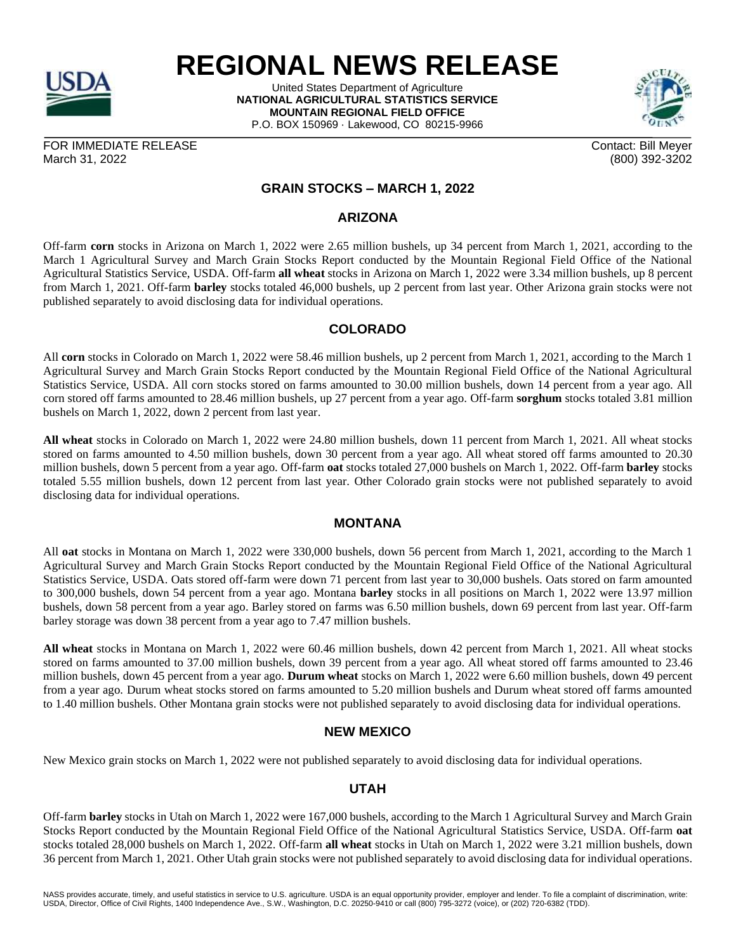

# **REGIONAL NEWS RELEASE**

United States Department of Agriculture **NATIONAL AGRICULTURAL STATISTICS SERVICE MOUNTAIN REGIONAL FIELD OFFICE** P.O. BOX 150969 · Lakewood, CO 80215-9966



FOR IMMEDIATE RELEASE March 31, 2022

Contact: Bill Meyer (800) 392-3202

# **GRAIN STOCKS – MARCH 1, 2022**

## **ARIZONA**

Off-farm **corn** stocks in Arizona on March 1, 2022 were 2.65 million bushels, up 34 percent from March 1, 2021, according to the March 1 Agricultural Survey and March Grain Stocks Report conducted by the Mountain Regional Field Office of the National Agricultural Statistics Service, USDA. Off-farm **all wheat** stocks in Arizona on March 1, 2022 were 3.34 million bushels, up 8 percent from March 1, 2021. Off-farm **barley** stocks totaled 46,000 bushels, up 2 percent from last year. Other Arizona grain stocks were not published separately to avoid disclosing data for individual operations.

## **COLORADO**

All **corn** stocks in Colorado on March 1, 2022 were 58.46 million bushels, up 2 percent from March 1, 2021, according to the March 1 Agricultural Survey and March Grain Stocks Report conducted by the Mountain Regional Field Office of the National Agricultural Statistics Service, USDA. All corn stocks stored on farms amounted to 30.00 million bushels, down 14 percent from a year ago. All corn stored off farms amounted to 28.46 million bushels, up 27 percent from a year ago. Off-farm **sorghum** stocks totaled 3.81 million bushels on March 1, 2022, down 2 percent from last year.

**All wheat** stocks in Colorado on March 1, 2022 were 24.80 million bushels, down 11 percent from March 1, 2021. All wheat stocks stored on farms amounted to 4.50 million bushels, down 30 percent from a year ago. All wheat stored off farms amounted to 20.30 million bushels, down 5 percent from a year ago. Off-farm **oat** stocks totaled 27,000 bushels on March 1, 2022. Off-farm **barley** stocks totaled 5.55 million bushels, down 12 percent from last year. Other Colorado grain stocks were not published separately to avoid disclosing data for individual operations.

#### **MONTANA**

All **oat** stocks in Montana on March 1, 2022 were 330,000 bushels, down 56 percent from March 1, 2021, according to the March 1 Agricultural Survey and March Grain Stocks Report conducted by the Mountain Regional Field Office of the National Agricultural Statistics Service, USDA. Oats stored off-farm were down 71 percent from last year to 30,000 bushels. Oats stored on farm amounted to 300,000 bushels, down 54 percent from a year ago. Montana **barley** stocks in all positions on March 1, 2022 were 13.97 million bushels, down 58 percent from a year ago. Barley stored on farms was 6.50 million bushels, down 69 percent from last year. Off-farm barley storage was down 38 percent from a year ago to 7.47 million bushels.

**All wheat** stocks in Montana on March 1, 2022 were 60.46 million bushels, down 42 percent from March 1, 2021. All wheat stocks stored on farms amounted to 37.00 million bushels, down 39 percent from a year ago. All wheat stored off farms amounted to 23.46 million bushels, down 45 percent from a year ago. **Durum wheat** stocks on March 1, 2022 were 6.60 million bushels, down 49 percent from a year ago. Durum wheat stocks stored on farms amounted to 5.20 million bushels and Durum wheat stored off farms amounted to 1.40 million bushels. Other Montana grain stocks were not published separately to avoid disclosing data for individual operations.

# **NEW MEXICO**

New Mexico grain stocks on March 1, 2022 were not published separately to avoid disclosing data for individual operations.

# **UTAH**

Off-farm **barley** stocks in Utah on March 1, 2022 were 167,000 bushels, according to the March 1 Agricultural Survey and March Grain Stocks Report conducted by the Mountain Regional Field Office of the National Agricultural Statistics Service, USDA. Off-farm **oat** stocks totaled 28,000 bushels on March 1, 2022. Off-farm **all wheat** stocks in Utah on March 1, 2022 were 3.21 million bushels, down 36 percent from March 1, 2021. Other Utah grain stocks were not published separately to avoid disclosing data for individual operations.